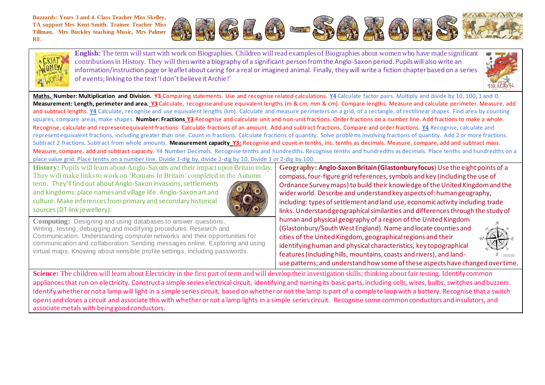**Buzzards: Years 3 and 4. Class Teacher Miss Skelley, TA support Mrs Kent-Smith. Trainee Teacher Miss Tillman, Mrs Buckley teaching Music, Mrs Palmer RE**.





**English:** The term will start with work on Biographies. Children will read examples of Biographies about women who have made significant contributions in History. They will thenwrite a biography of a significant person from the Anglo-Saxon period. Pupils will also write an information/instruction page or leaflet about caring for a real or imagined animal. Finally, they will write a fiction chapter based on a series of events; linking to the text 'I don't believe it Archie!'



**Maths. Number: Multiplication and Division. Y3** Comparing statements. Use and recognise related calculations. **Y4** Calculate factor pairs. Multiply and divide by 10, 100, 1 and 0. **Measurement: Length, perimeter and area. Y3** Calculate, recognise and use equivalent lengths (m & cm, mm & cm). Compare lengths. Measure and calculate perimeter. Measure, add and subtract lengths. Y4 Calculate, recognise and use equivalent lengths (km). Calculate and measure perimeters on a grid, of a rectangle, of rectilinear shapes. Find area by counting squares, compare areas, make shapes. **Number: Fractions Y3** Recognise and calculate unit and non-unit fractions. Order fractions on a number line. Add fractions to make a whole. Recognise, calculate and represent equivalent fractions. Calculate fractions of an amount. Add and subtract fractions. Compare and order fractions. **Y4** Recognise, calculate and represent equivalent fractions, including greater than one. Count in fractions. Calculate fractions of quantity. Solve problems involving fractions of quantity. Add 2 or more fractions. Subtract 2 fractions. Subtract from whole amounts. **Measurement capacity Y3:** Recognise and count in tenths, inc. tenths as decimals. Measure, compare, add and subtract mass. Measure, compare, add and subtract capacity. Y4 Number Decimals. Recognise tenths and hundredths. Recognise tenths and hundredths as decimals. Place tenths and hundredths on a place value grid. Place tenths on a number line. Divide 1-dig by, divide 2-dig by 10. Divide 1 or 2-dig by 100.

**History:** Pupils will learn about Anglo-Saxons and their impact upon Britain today. They will make links to work on 'Romans In Britain' completed in the Autumn term. They'll find out about Anglo-Saxon invasions, settlements

and kingdoms: place names and village life. Anglo-Saxon art and culture. Make inferences from primary and secondary historical sources (DT link jewellery).



**Computing:** Designing and using databases to answer questions. Writing, testing, debugging and modifying procedures. Research and Communication. Understanding computer networks and their opportunities for communication and collaboration. Sending messages online. Exploring and using virtual maps. Knowing about sensible profile settings, including passwords.

**Geography: Anglo-Saxon Britain (Glastonbury focus**) Use the eight points of a compass, four-figure grid references, symbols and key (including the use of Ordnance Survey maps) to build their knowledge of the United Kingdom and the wider world. Describe and understand key aspects of: human geography, including: types of settlement and land use, economic activity including trade links. Understand geographicalsimilarities and differences through the study of human and physical geography of a region of the United Kingdom (Glastonbury/South West England). Name and locate counties and cities of the United Kingdom, geographical regions and their identifying human and physical characteristics, key topographical features (including hills, mountains, coasts and rivers), and land-



**Science:** The children will learn about Electricity in the first part of term and will develop their investigation skills; thinking about fair testing. Identify common appliances that run on electricity. Construct a simple series electrical circuit, identifying and naming its basic parts, including cells, wires, bulbs, switches and buzzers. Identify whether or not a lamp will light in a simple series circuit, based on whether or not the lamp is part of a complete loop with a battery. Recognise that a switch opens and closes a circuit and associate this with whether or not a lamp lights in a simple series circuit. Recognise some common conductors and insulators, and associate metals with being good conductors.